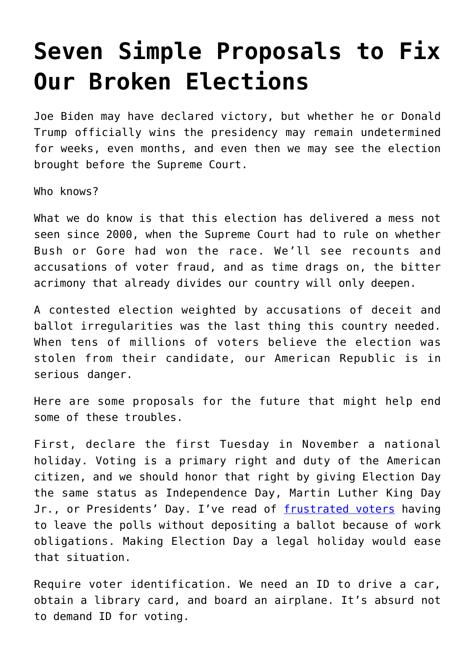## **[Seven Simple Proposals to Fix](https://intellectualtakeout.org/2020/11/seven-simple-proposals-to-fix-our-broken-elections/) [Our Broken Elections](https://intellectualtakeout.org/2020/11/seven-simple-proposals-to-fix-our-broken-elections/)**

Joe Biden may have declared victory, but whether he or Donald Trump officially wins the presidency may remain undetermined for weeks, even months, and even then we may see the election brought before the Supreme Court.

Who knows?

What we do know is that this election has delivered a mess not seen since 2000, when the Supreme Court had to rule on whether Bush or Gore had won the race. We'll see recounts and accusations of voter fraud, and as time drags on, the bitter acrimony that already divides our country will only deepen.

A contested election weighted by accusations of deceit and ballot irregularities was the last thing this country needed. When tens of millions of voters believe the election was stolen from their candidate, our American Republic is in serious danger.

Here are some proposals for the future that might help end some of these troubles.

First, declare the first Tuesday in November a national holiday. Voting is a primary right and duty of the American citizen, and we should honor that right by giving Election Day the same status as Independence Day, Martin Luther King Day Jr., or Presidents' Day. I've read of [frustrated voters](https://www.orlandosentinel.com/business/os-xpm-2013-01-29-os-voter-lines-statewide-20130118-story.html) having to leave the polls without depositing a ballot because of work obligations. Making Election Day a legal holiday would ease that situation.

Require voter identification. We need an ID to drive a car, obtain a library card, and board an airplane. It's absurd not to demand ID for voting.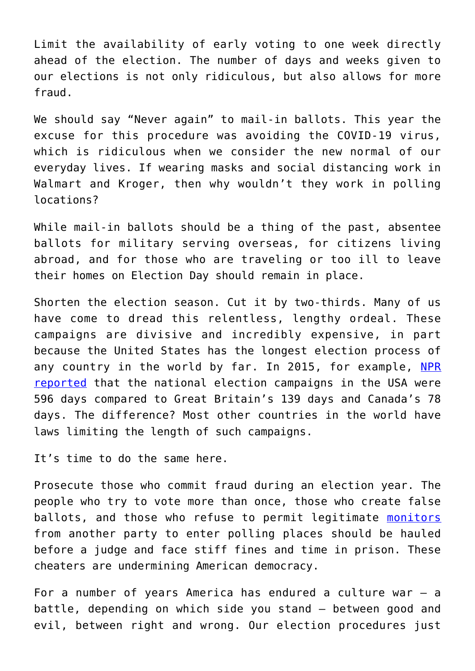Limit the availability of early voting to one week directly ahead of the election. The number of days and weeks given to our elections is not only ridiculous, but also allows for more fraud.

We should say "Never again" to mail-in ballots. This year the excuse for this procedure was avoiding the COVID-19 virus, which is ridiculous when we consider the new normal of our everyday lives. If wearing masks and social distancing work in Walmart and Kroger, then why wouldn't they work in polling locations?

While mail-in ballots should be a thing of the past, absentee ballots for military serving overseas, for citizens living abroad, and for those who are traveling or too ill to leave their homes on Election Day should remain in place.

Shorten the election season. Cut it by two-thirds. Many of us have come to dread this relentless, lengthy ordeal. These campaigns are divisive and incredibly expensive, in part because the United States has the longest election process of any country in the world by far. In 2015, for example, [NPR](https://www.npr.org/sections/itsallpolitics/2015/10/21/450238156/canadas-11-week-campaign-reminds-us-that-american-elections-are-much-longer) [reported](https://www.npr.org/sections/itsallpolitics/2015/10/21/450238156/canadas-11-week-campaign-reminds-us-that-american-elections-are-much-longer) that the national election campaigns in the USA were 596 days compared to Great Britain's 139 days and Canada's 78 days. The difference? Most other countries in the world have laws limiting the length of such campaigns.

It's time to do the same here.

Prosecute those who commit fraud during an election year. The people who try to vote more than once, those who create false ballots, and those who refuse to permit legitimate [monitors](https://thefederalist.com/2020/11/03/reports-of-election-interference-surface-at-philadelphia-polling-locations/) from another party to enter polling places should be hauled before a judge and face stiff fines and time in prison. These cheaters are undermining American democracy.

For a number of years America has endured a culture war – a battle, depending on which side you stand – between good and evil, between right and wrong. Our election procedures just